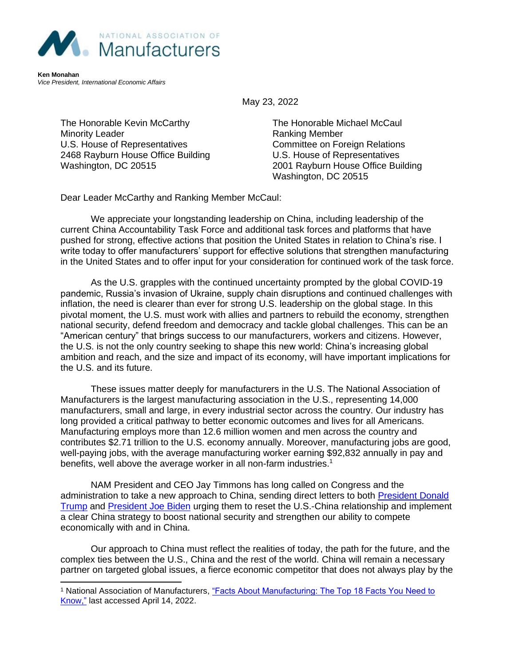

**Ken Monahan** *Vice President, International Economic Affairs*

May 23, 2022

The Honorable Kevin McCarthy Minority Leader U.S. House of Representatives 2468 Rayburn House Office Building Washington, DC 20515

The Honorable Michael McCaul Ranking Member Committee on Foreign Relations U.S. House of Representatives 2001 Rayburn House Office Building Washington, DC 20515

Dear Leader McCarthy and Ranking Member McCaul:

We appreciate your longstanding leadership on China, including leadership of the current China Accountability Task Force and additional task forces and platforms that have pushed for strong, effective actions that position the United States in relation to China's rise. I write today to offer manufacturers' support for effective solutions that strengthen manufacturing in the United States and to offer input for your consideration for continued work of the task force.

As the U.S. grapples with the continued uncertainty prompted by the global COVID-19 pandemic, Russia's invasion of Ukraine, supply chain disruptions and continued challenges with inflation, the need is clearer than ever for strong U.S. leadership on the global stage. In this pivotal moment, the U.S. must work with allies and partners to rebuild the economy, strengthen national security, defend freedom and democracy and tackle global challenges. This can be an "American century" that brings success to our manufacturers, workers and citizens. However, the U.S. is not the only country seeking to shape this new world: China's increasing global ambition and reach, and the size and impact of its economy, will have important implications for the U.S. and its future.

These issues matter deeply for manufacturers in the U.S. The National Association of Manufacturers is the largest manufacturing association in the U.S., representing 14,000 manufacturers, small and large, in every industrial sector across the country. Our industry has long provided a critical pathway to better economic outcomes and lives for all Americans. Manufacturing employs more than 12.6 million women and men across the country and contributes \$2.71 trillion to the U.S. economy annually. Moreover, manufacturing jobs are good, well-paying jobs, with the average manufacturing worker earning \$92,832 annually in pay and benefits, well above the average worker in all non-farm industries.<sup>1</sup>

NAM President and CEO Jay Timmons has long called on Congress and the administration to take a new approach to China, sending direct letters to both [President Donald](http://documents.nam.org/IEA/JT%20Letter%20to%20President%20Trump%20China%202018-01-08.pdf)  [Trump](http://documents.nam.org/IEA/JT%20Letter%20to%20President%20Trump%20China%202018-01-08.pdf) and [President Joe Biden](http://documents.nam.org/IEA/NAM_Jay_Timmons_Letter_to_President_Biden_on_China_March_17_2021.pdf) urging them to reset the U.S.-China relationship and implement a clear China strategy to boost national security and strengthen our ability to compete economically with and in China.

Our approach to China must reflect the realities of today, the path for the future, and the complex ties between the U.S., China and the rest of the world. China will remain a necessary partner on targeted global issues, a fierce economic competitor that does not always play by the

<sup>1</sup> National Association of Manufacturers, ["Facts About Manufacturing: The Top 18 Facts You Need to](http://www.nam.org/Newsroom/Facts-About-Manufacturing/)  [Know,"](http://www.nam.org/Newsroom/Facts-About-Manufacturing/) last accessed April 14, 2022.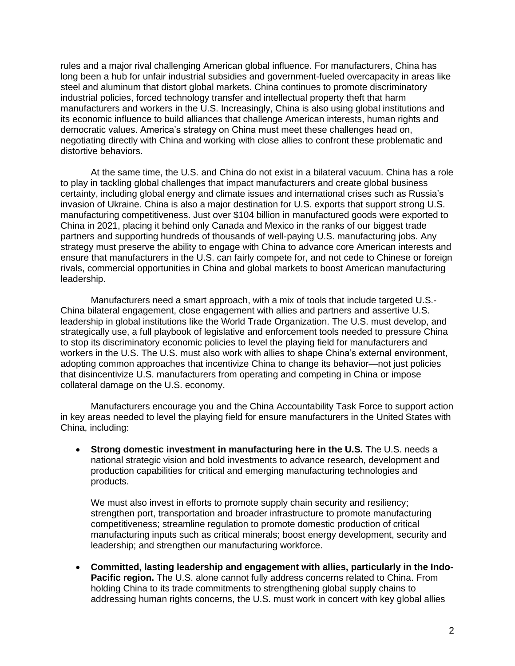rules and a major rival challenging American global influence. For manufacturers, China has long been a hub for unfair industrial subsidies and government-fueled overcapacity in areas like steel and aluminum that distort global markets. China continues to promote discriminatory industrial policies, forced technology transfer and intellectual property theft that harm manufacturers and workers in the U.S. Increasingly, China is also using global institutions and its economic influence to build alliances that challenge American interests, human rights and democratic values. America's strategy on China must meet these challenges head on, negotiating directly with China and working with close allies to confront these problematic and distortive behaviors.

At the same time, the U.S. and China do not exist in a bilateral vacuum. China has a role to play in tackling global challenges that impact manufacturers and create global business certainty, including global energy and climate issues and international crises such as Russia's invasion of Ukraine. China is also a major destination for U.S. exports that support strong U.S. manufacturing competitiveness. Just over \$104 billion in manufactured goods were exported to China in 2021, placing it behind only Canada and Mexico in the ranks of our biggest trade partners and supporting hundreds of thousands of well-paying U.S. manufacturing jobs. Any strategy must preserve the ability to engage with China to advance core American interests and ensure that manufacturers in the U.S. can fairly compete for, and not cede to Chinese or foreign rivals, commercial opportunities in China and global markets to boost American manufacturing leadership.

Manufacturers need a smart approach, with a mix of tools that include targeted U.S.- China bilateral engagement, close engagement with allies and partners and assertive U.S. leadership in global institutions like the World Trade Organization. The U.S. must develop, and strategically use, a full playbook of legislative and enforcement tools needed to pressure China to stop its discriminatory economic policies to level the playing field for manufacturers and workers in the U.S. The U.S. must also work with allies to shape China's external environment, adopting common approaches that incentivize China to change its behavior—not just policies that disincentivize U.S. manufacturers from operating and competing in China or impose collateral damage on the U.S. economy.

Manufacturers encourage you and the China Accountability Task Force to support action in key areas needed to level the playing field for ensure manufacturers in the United States with China, including:

• **Strong domestic investment in manufacturing here in the U.S.** The U.S. needs a national strategic vision and bold investments to advance research, development and production capabilities for critical and emerging manufacturing technologies and products.

We must also invest in efforts to promote supply chain security and resiliency; strengthen port, transportation and broader infrastructure to promote manufacturing competitiveness; streamline regulation to promote domestic production of critical manufacturing inputs such as critical minerals; boost energy development, security and leadership; and strengthen our manufacturing workforce.

• **Committed, lasting leadership and engagement with allies, particularly in the Indo-Pacific region.** The U.S. alone cannot fully address concerns related to China. From holding China to its trade commitments to strengthening global supply chains to addressing human rights concerns, the U.S. must work in concert with key global allies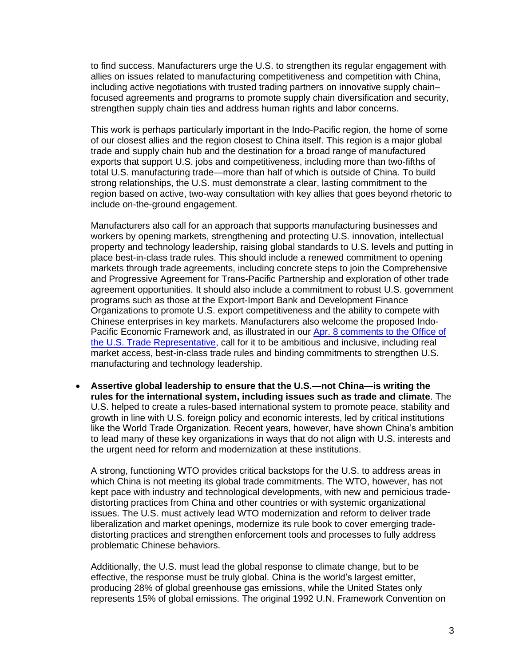to find success. Manufacturers urge the U.S. to strengthen its regular engagement with allies on issues related to manufacturing competitiveness and competition with China, including active negotiations with trusted trading partners on innovative supply chain– focused agreements and programs to promote supply chain diversification and security, strengthen supply chain ties and address human rights and labor concerns.

This work is perhaps particularly important in the Indo-Pacific region, the home of some of our closest allies and the region closest to China itself. This region is a major global trade and supply chain hub and the destination for a broad range of manufactured exports that support U.S. jobs and competitiveness, including more than two-fifths of total U.S. manufacturing trade—more than half of which is outside of China. To build strong relationships, the U.S. must demonstrate a clear, lasting commitment to the region based on active, two-way consultation with key allies that goes beyond rhetoric to include on-the-ground engagement.

Manufacturers also call for an approach that supports manufacturing businesses and workers by opening markets, strengthening and protecting U.S. innovation, intellectual property and technology leadership, raising global standards to U.S. levels and putting in place best-in-class trade rules. This should include a renewed commitment to opening markets through trade agreements, including concrete steps to join the Comprehensive and Progressive Agreement for Trans-Pacific Partnership and exploration of other trade agreement opportunities. It should also include a commitment to robust U.S. government programs such as those at the Export-Import Bank and Development Finance Organizations to promote U.S. export competitiveness and the ability to compete with Chinese enterprises in key markets. Manufacturers also welcome the proposed Indo-Pacific Economic Framework and, as illustrated in our [Apr. 8 comments to the Office of](https://documents.nam.org/IEA/2022.04_NAM_Comments_to_USTR_on_IPEF_FINAL.pdf)  [the U.S. Trade Representative,](https://documents.nam.org/IEA/2022.04_NAM_Comments_to_USTR_on_IPEF_FINAL.pdf) call for it to be ambitious and inclusive, including real market access, best-in-class trade rules and binding commitments to strengthen U.S. manufacturing and technology leadership.

• **Assertive global leadership to ensure that the U.S.—not China—is writing the rules for the international system, including issues such as trade and climate**. The U.S. helped to create a rules-based international system to promote peace, stability and growth in line with U.S. foreign policy and economic interests, led by critical institutions like the World Trade Organization. Recent years, however, have shown China's ambition to lead many of these key organizations in ways that do not align with U.S. interests and the urgent need for reform and modernization at these institutions.

A strong, functioning WTO provides critical backstops for the U.S. to address areas in which China is not meeting its global trade commitments. The WTO, however, has not kept pace with industry and technological developments, with new and pernicious tradedistorting practices from China and other countries or with systemic organizational issues. The U.S. must actively lead WTO modernization and reform to deliver trade liberalization and market openings, modernize its rule book to cover emerging tradedistorting practices and strengthen enforcement tools and processes to fully address problematic Chinese behaviors.

Additionally, the U.S. must lead the global response to climate change, but to be effective, the response must be truly global. China is the world's largest emitter, producing 28% of global greenhouse gas emissions, while the United States only represents 15% of global emissions. The original 1992 U.N. Framework Convention on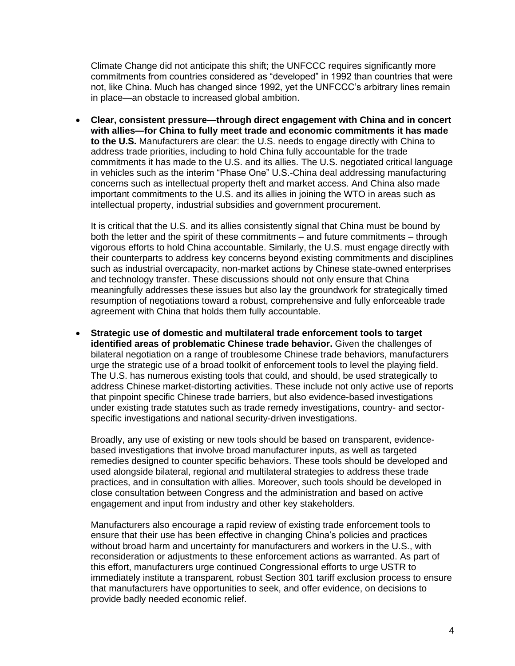Climate Change did not anticipate this shift; the UNFCCC requires significantly more commitments from countries considered as "developed" in 1992 than countries that were not, like China. Much has changed since 1992, yet the UNFCCC's arbitrary lines remain in place—an obstacle to increased global ambition.

• **Clear, consistent pressure—through direct engagement with China and in concert with allies—for China to fully meet trade and economic commitments it has made to the U.S.** Manufacturers are clear: the U.S. needs to engage directly with China to address trade priorities, including to hold China fully accountable for the trade commitments it has made to the U.S. and its allies. The U.S. negotiated critical language in vehicles such as the interim "Phase One" U.S.-China deal addressing manufacturing concerns such as intellectual property theft and market access. And China also made important commitments to the U.S. and its allies in joining the WTO in areas such as intellectual property, industrial subsidies and government procurement.

It is critical that the U.S. and its allies consistently signal that China must be bound by both the letter and the spirit of these commitments – and future commitments – through vigorous efforts to hold China accountable. Similarly, the U.S. must engage directly with their counterparts to address key concerns beyond existing commitments and disciplines such as industrial overcapacity, non-market actions by Chinese state-owned enterprises and technology transfer. These discussions should not only ensure that China meaningfully addresses these issues but also lay the groundwork for strategically timed resumption of negotiations toward a robust, comprehensive and fully enforceable trade agreement with China that holds them fully accountable.

• **Strategic use of domestic and multilateral trade enforcement tools to target identified areas of problematic Chinese trade behavior.** Given the challenges of bilateral negotiation on a range of troublesome Chinese trade behaviors, manufacturers urge the strategic use of a broad toolkit of enforcement tools to level the playing field. The U.S. has numerous existing tools that could, and should, be used strategically to address Chinese market-distorting activities. These include not only active use of reports that pinpoint specific Chinese trade barriers, but also evidence-based investigations under existing trade statutes such as trade remedy investigations, country- and sectorspecific investigations and national security-driven investigations.

Broadly, any use of existing or new tools should be based on transparent, evidencebased investigations that involve broad manufacturer inputs, as well as targeted remedies designed to counter specific behaviors. These tools should be developed and used alongside bilateral, regional and multilateral strategies to address these trade practices, and in consultation with allies. Moreover, such tools should be developed in close consultation between Congress and the administration and based on active engagement and input from industry and other key stakeholders.

Manufacturers also encourage a rapid review of existing trade enforcement tools to ensure that their use has been effective in changing China's policies and practices without broad harm and uncertainty for manufacturers and workers in the U.S., with reconsideration or adjustments to these enforcement actions as warranted. As part of this effort, manufacturers urge continued Congressional efforts to urge USTR to immediately institute a transparent, robust Section 301 tariff exclusion process to ensure that manufacturers have opportunities to seek, and offer evidence, on decisions to provide badly needed economic relief.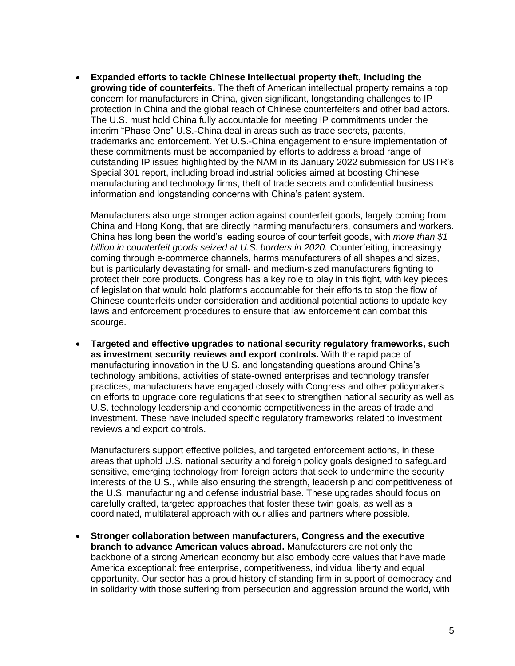• **Expanded efforts to tackle Chinese intellectual property theft, including the growing tide of counterfeits.** The theft of American intellectual property remains a top concern for manufacturers in China, given significant, longstanding challenges to IP protection in China and the global reach of Chinese counterfeiters and other bad actors. The U.S. must hold China fully accountable for meeting IP commitments under the interim "Phase One" U.S.-China deal in areas such as trade secrets, patents, trademarks and enforcement. Yet U.S.-China engagement to ensure implementation of these commitments must be accompanied by efforts to address a broad range of outstanding IP issues highlighted by the NAM in its January 2022 submission for USTR's Special 301 report, including broad industrial policies aimed at boosting Chinese manufacturing and technology firms, theft of trade secrets and confidential business information and longstanding concerns with China's patent system.

Manufacturers also urge stronger action against counterfeit goods, largely coming from China and Hong Kong, that are directly harming manufacturers, consumers and workers. China has long been the world's leading source of counterfeit goods, with *more than \$1 billion in counterfeit goods seized at U.S. borders in 2020.* Counterfeiting, increasingly coming through e-commerce channels, harms manufacturers of all shapes and sizes, but is particularly devastating for small- and medium-sized manufacturers fighting to protect their core products. Congress has a key role to play in this fight, with key pieces of legislation that would hold platforms accountable for their efforts to stop the flow of Chinese counterfeits under consideration and additional potential actions to update key laws and enforcement procedures to ensure that law enforcement can combat this scourge.

• **Targeted and effective upgrades to national security regulatory frameworks, such as investment security reviews and export controls.** With the rapid pace of manufacturing innovation in the U.S. and longstanding questions around China's technology ambitions, activities of state-owned enterprises and technology transfer practices, manufacturers have engaged closely with Congress and other policymakers on efforts to upgrade core regulations that seek to strengthen national security as well as U.S. technology leadership and economic competitiveness in the areas of trade and investment. These have included specific regulatory frameworks related to investment reviews and export controls.

Manufacturers support effective policies, and targeted enforcement actions, in these areas that uphold U.S. national security and foreign policy goals designed to safeguard sensitive, emerging technology from foreign actors that seek to undermine the security interests of the U.S., while also ensuring the strength, leadership and competitiveness of the U.S. manufacturing and defense industrial base. These upgrades should focus on carefully crafted, targeted approaches that foster these twin goals, as well as a coordinated, multilateral approach with our allies and partners where possible.

• **Stronger collaboration between manufacturers, Congress and the executive branch to advance American values abroad.** Manufacturers are not only the backbone of a strong American economy but also embody core values that have made America exceptional: free enterprise, competitiveness, individual liberty and equal opportunity. Our sector has a proud history of standing firm in support of democracy and in solidarity with those suffering from persecution and aggression around the world, with